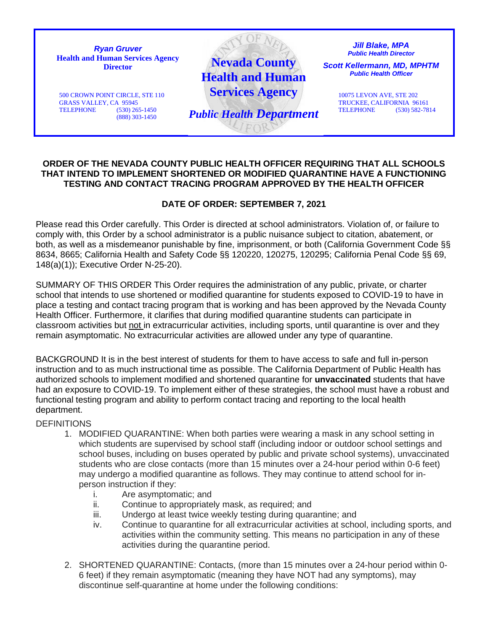

## **ORDER OF THE NEVADA COUNTY PUBLIC HEALTH OFFICER REQUIRING THAT ALL SCHOOLS THAT INTEND TO IMPLEMENT SHORTENED OR MODIFIED QUARANTINE HAVE A FUNCTIONING TESTING AND CONTACT TRACING PROGRAM APPROVED BY THE HEALTH OFFICER**

## **DATE OF ORDER: SEPTEMBER 7, 2021**

Please read this Order carefully. This Order is directed at school administrators. Violation of, or failure to comply with, this Order by a school administrator is a public nuisance subject to citation, abatement, or both, as well as a misdemeanor punishable by fine, imprisonment, or both (California Government Code §§ 8634, 8665; California Health and Safety Code §§ 120220, 120275, 120295; California Penal Code §§ 69, 148(a)(1)); Executive Order N-25-20).

SUMMARY OF THIS ORDER This Order requires the administration of any public, private, or charter school that intends to use shortened or modified quarantine for students exposed to COVID-19 to have in place a testing and contact tracing program that is working and has been approved by the Nevada County Health Officer. Furthermore, it clarifies that during modified quarantine students can participate in classroom activities but not in extracurricular activities, including sports, until quarantine is over and they remain asymptomatic. No extracurricular activities are allowed under any type of quarantine.

BACKGROUND It is in the best interest of students for them to have access to safe and full in-person instruction and to as much instructional time as possible. The California Department of Public Health has authorized schools to implement modified and shortened quarantine for **unvaccinated** students that have had an exposure to COVID-19. To implement either of these strategies, the school must have a robust and functional testing program and ability to perform contact tracing and reporting to the local health department.

## **DEFINITIONS**

- 1. MODIFIED QUARANTINE: When both parties were wearing a mask in any school setting in which students are supervised by school staff (including indoor or outdoor school settings and school buses, including on buses operated by public and private school systems), unvaccinated students who are close contacts (more than 15 minutes over a 24-hour period within 0-6 feet) may undergo a modified quarantine as follows. They may continue to attend school for inperson instruction if they:
	- i. Are asymptomatic; and
	- ii. Continue to appropriately mask, as required; and
	- iii. Undergo at least twice weekly testing during quarantine; and
	- iv. Continue to quarantine for all extracurricular activities at school, including sports, and activities within the community setting. This means no participation in any of these activities during the quarantine period.
- 2. SHORTENED QUARANTINE: Contacts, (more than 15 minutes over a 24-hour period within 0- 6 feet) if they remain asymptomatic (meaning they have NOT had any symptoms), may discontinue self-quarantine at home under the following conditions: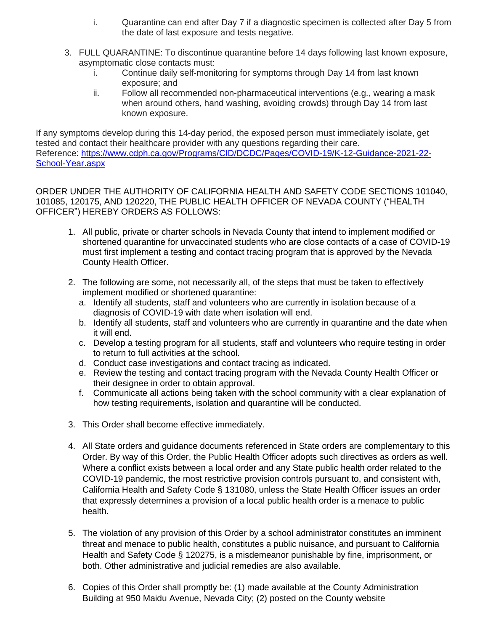- i. Quarantine can end after Day 7 if a diagnostic specimen is collected after Day 5 from the date of last exposure and tests negative.
- 3. FULL QUARANTINE: To discontinue quarantine before 14 days following last known exposure, asymptomatic close contacts must:
	- i. Continue daily self-monitoring for symptoms through Day 14 from last known exposure; and
	- ii. Follow all recommended non-pharmaceutical interventions (e.g., wearing a mask when around others, hand washing, avoiding crowds) through Day 14 from last known exposure.

If any symptoms develop during this 14-day period, the exposed person must immediately isolate, get tested and contact their healthcare provider with any questions regarding their care. Reference: [https://www.cdph.ca.gov/Programs/CID/DCDC/Pages/COVID-19/K-12-Guidance-2021-22-](https://www.cdph.ca.gov/Programs/CID/DCDC/Pages/COVID-19/K-12-Guidance-2021-22-School-Year.aspx) [School-Year.aspx](https://www.cdph.ca.gov/Programs/CID/DCDC/Pages/COVID-19/K-12-Guidance-2021-22-School-Year.aspx)

ORDER UNDER THE AUTHORITY OF CALIFORNIA HEALTH AND SAFETY CODE SECTIONS 101040, 101085, 120175, AND 120220, THE PUBLIC HEALTH OFFICER OF NEVADA COUNTY ("HEALTH OFFICER") HEREBY ORDERS AS FOLLOWS:

- 1. All public, private or charter schools in Nevada County that intend to implement modified or shortened quarantine for unvaccinated students who are close contacts of a case of COVID-19 must first implement a testing and contact tracing program that is approved by the Nevada County Health Officer.
- 2. The following are some, not necessarily all, of the steps that must be taken to effectively implement modified or shortened quarantine:
	- a. Identify all students, staff and volunteers who are currently in isolation because of a diagnosis of COVID-19 with date when isolation will end.
	- b. Identify all students, staff and volunteers who are currently in quarantine and the date when it will end.
	- c. Develop a testing program for all students, staff and volunteers who require testing in order to return to full activities at the school.
	- d. Conduct case investigations and contact tracing as indicated.
	- e. Review the testing and contact tracing program with the Nevada County Health Officer or their designee in order to obtain approval.
	- f. Communicate all actions being taken with the school community with a clear explanation of how testing requirements, isolation and quarantine will be conducted.
- 3. This Order shall become effective immediately.
- 4. All State orders and guidance documents referenced in State orders are complementary to this Order. By way of this Order, the Public Health Officer adopts such directives as orders as well. Where a conflict exists between a local order and any State public health order related to the COVID-19 pandemic, the most restrictive provision controls pursuant to, and consistent with, California Health and Safety Code § 131080, unless the State Health Officer issues an order that expressly determines a provision of a local public health order is a menace to public health.
- 5. The violation of any provision of this Order by a school administrator constitutes an imminent threat and menace to public health, constitutes a public nuisance, and pursuant to California Health and Safety Code § 120275, is a misdemeanor punishable by fine, imprisonment, or both. Other administrative and judicial remedies are also available.
- 6. Copies of this Order shall promptly be: (1) made available at the County Administration Building at 950 Maidu Avenue, Nevada City; (2) posted on the County website